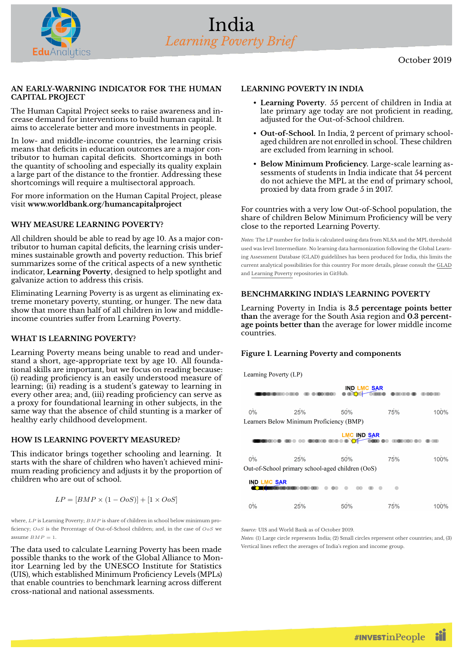

#### **AN EARLY-WARNING INDICATOR FOR THE HUMAN CAPITAL PROJECT**

The Human Capital Project seeks to raise awareness and increase demand for interventions to build human capital. It aims to accelerate better and more investments in people.

In low- and middle-income countries, the learning crisis means that deficits in education outcomes are a major contributor to human capital deficits. Shortcomings in both the quantity of schooling and especially its quality explain a large part of the distance to the frontier. Addressing these shortcomings will require a multisectoral approach.

For more information on the Human Capital Project, please visit **[www.worldbank.org/humancapitalproject](https://www.worldbank.org/humancapitalproject)**

### **WHY MEASURE LEARNING POVERTY?**

All children should be able to read by age 10. As a major contributor to human capital deficits, the learning crisis undermines sustainable growth and poverty reduction. This brief summarizes some of the critical aspects of a new synthetic indicator, **Learning Poverty**, designed to help spotlight and galvanize action to address this crisis.

Eliminating Learning Poverty is as urgent as eliminating extreme monetary poverty, stunting, or hunger. The new data show that more than half of all children in low and middleincome countries suffer from Learning Poverty.

### **WHAT IS LEARNING POVERTY?**

Learning Poverty means being unable to read and understand a short, age-appropriate text by age 10. All foundational skills are important, but we focus on reading because: (i) reading proficiency is an easily understood measure of learning; (ii) reading is a student's gateway to learning in every other area; and, (iii) reading proficiency can serve as a proxy for foundational learning in other subjects, in the same way that the absence of child stunting is a marker of healthy early childhood development.

# **HOW IS LEARNING POVERTY MEASURED?**

This indicator brings together schooling and learning. It starts with the share of children who haven't achieved minimum reading proficiency and adjusts it by the proportion of children who are out of school.

$$
LP = [BMP \times (1 - OoS)] + [1 \times OoS]
$$

where, *LP* is Learning Poverty; *BMP* is share of children in school below minimum proficiency; *OoS* is the Percentage of Out-of-School children; and, in the case of *OoS* we assume  $BMP = 1$ .

The data used to calculate Learning Poverty has been made possible thanks to the work of the Global Alliance to Monitor Learning led by the UNESCO Institute for Statistics (UIS), which established Minimum Proficiency Levels (MPLs) that enable countries to benchmark learning across different cross-national and national assessments.

## **LEARNING POVERTY IN INDIA**

- **Learning Poverty**. 55 percent of children in India at late primary age today are not proficient in reading, adjusted for the Out-of-School children.
- **Out-of-School.** In India, 2 percent of primary schoolaged children are not enrolled in school. These children are excluded from learning in school.
- Below Minimum Proficiency. Large-scale learning assessments of students in India indicate that 54 percent do not achieve the MPL at the end of primary school, proxied by data from grade 5 in 2017.

For countries with a very low Out-of-School population, the share of children Below Minimum Proficiency will be very close to the reported Learning Poverty.

*Notes:* The LP number for India is calculated using data from NLSA and the MPL threshold used was level Intermediate. No learning data harmonization following the Global Learning Assessment Database (GLAD) guidelilnes has been produced for India, this limits the current analytical possibilities for this country For more details, please consult the [GLAD](https://github.com/worldbank/GLAD) and [Learning Poverty](https://github.com/worldbank/LearningPoverty) repositories in GitHub.

## **BENCHMARKING INDIA'S LEARNING POVERTY**

Learning Poverty in India is **3.5 percentage points better than** the average for the South Asia region and **0.3 percentage points better than** the average for lower middle income countries.

# **Figure 1. Learning Poverty and components**

Learning Poverty (LP)

|                                                  |                                          | <b>IND LMC SAR</b> |     |      |  |  |
|--------------------------------------------------|------------------------------------------|--------------------|-----|------|--|--|
| 0%                                               | 25%                                      | 50%                | 75% | 100% |  |  |
|                                                  | Learners Below Minimum Proficiency (BMP) |                    |     |      |  |  |
| <b>LMC IND SAR</b>                               |                                          |                    |     |      |  |  |
| 0%                                               | 25%                                      | 50%                | 75% | 100% |  |  |
| Out-of-School primary school-aged children (OoS) |                                          |                    |     |      |  |  |
| <b>IND LMC SAR</b>                               |                                          |                    |     |      |  |  |

| $0\%$ | 25% | 50% | 75% | 100% |
|-------|-----|-----|-----|------|
|       |     |     |     |      |

*Source:* UIS and World Bank as of October 2019.

*Notes:* (1) Large circle represents India; (2) Small circles represent other countries; and, (3) Vertical lines reflect the averages of India's region and income group.